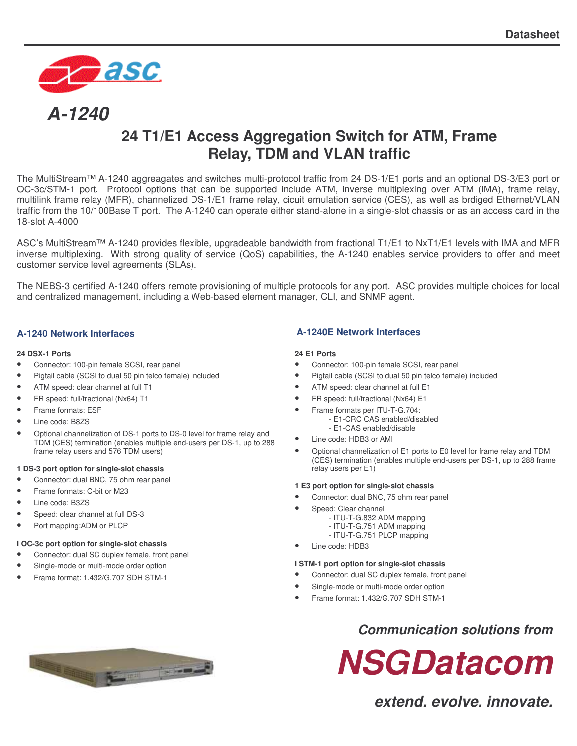

# *A-1240*

# **24 T1/E1 Access Aggregation Switch for ATM, Frame Relay, TDM and VLAN traffic**

The MultiStream™ A-1240 aggreagates and switches multi-protocol traffic from 24 DS-1/E1 ports and an optional DS-3/E3 port or OC-3c/STM-1 port. Protocol options that can be supported include ATM, inverse multiplexing over ATM (IMA), frame relay, multilink frame relay (MFR), channelized DS-1/E1 frame relay, cicuit emulation service (CES), as well as brdiged Ethernet/VLAN traffic from the 10/100Base T port. The A-1240 can operate either stand-alone in a single-slot chassis or as an access card in the 18-slot A-4000

ASC's MultiStream™ A-1240 provides flexible, upgradeable bandwidth from fractional T1/E1 to NxT1/E1 levels with IMA and MFR inverse multiplexing. With strong quality of service (QoS) capabilities, the A-1240 enables service providers to offer and meet customer service level agreements (SLAs).

The NEBS-3 certified A-1240 offers remote provisioning of multiple protocols for any port. ASC provides multiple choices for local and centralized management, including a Web-based element manager, CLI, and SNMP agent.

#### **24 DSX-1 Ports**

- Connector: 100-pin female SCSI, rear panel
- Pigtail cable (SCSI to dual 50 pin telco female) included
- ATM speed: clear channel at full T1
- FR speed: full/fractional (Nx64) T1
- Frame formats: ESF
- Line code: B8ZS
- Optional channelization of DS-1 ports to DS-0 level for frame relay and TDM (CES) termination (enables multiple end-users per DS-1, up to 288 frame relay users and 576 TDM users)

#### **1 DS-3 port option for single-slot chassis**

- Connector: dual BNC, 75 ohm rear panel
- Frame formats: C-bit or M23
- Line code: B3ZS
- Speed: clear channel at full DS-3
- Port mapping:ADM or PLCP

#### **I OC-3c port option for single-slot chassis**

- Connector: dual SC duplex female, front panel
- Single-mode or multi-mode order option
- Frame format: 1.432/G.707 SDH STM-1

#### **A-1240 Network Interfaces A-1240E Network Interfaces**

#### **24 E1 Ports**

- Connector: 100-pin female SCSI, rear panel
- Pigtail cable (SCSI to dual 50 pin telco female) included
- ATM speed: clear channel at full E1
- FR speed: full/fractional (Nx64) E1
	- Frame formats per ITU-T-G.704:
		- E1-CRC CAS enabled/disabled
	- E1-CAS enabled/disable
- Line code: HDB3 or AMI
- Optional channelization of E1 ports to E0 level for frame relay and TDM (CES) termination (enables multiple end-users per DS-1, up to 288 frame relay users per E1)

#### **1 E3 port option for single-slot chassis**

- Connector: dual BNC, 75 ohm rear panel
- Speed: Clear channel
	- ITU-T-G.832 ADM mapping
	- ITU-T-G.751 ADM mapping
	- ITU-T-G.751 PLCP mapping
- Line code: HDB3

#### **I STM-1 port option for single-slot chassis**

- Connector: dual SC duplex female, front panel
- Single-mode or multi-mode order option
- Frame format: 1.432/G.707 SDH STM-1

## *Communication solutions from*



*extend. evolve. innovate.*